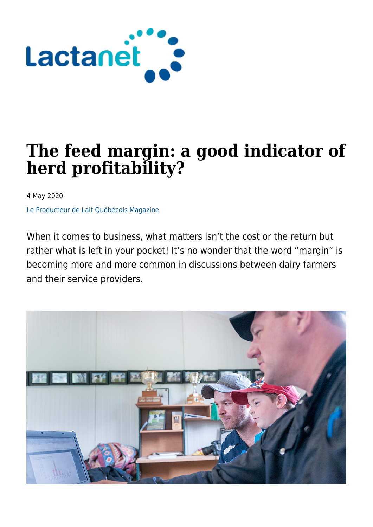

# **The feed margin: a good indicator of herd profitability?**

4 May 2020

[Le Producteur de Lait Québécois Magazine](https://lactanet.ca/en/tag/le-producteur-de-lait-quebecois-magazine/)

When it comes to business, what matters isn't the cost or the return but rather what is left in your pocket! It's no wonder that the word "margin" is becoming more and more common in discussions between dairy farmers and their service providers.

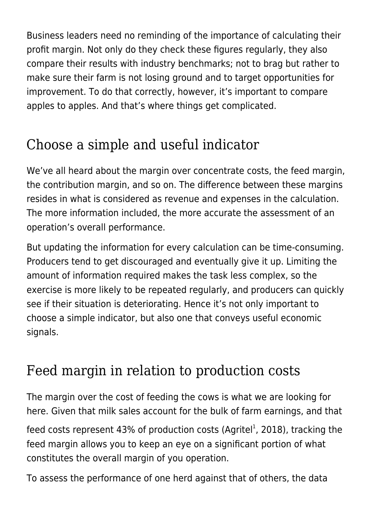Business leaders need no reminding of the importance of calculating their profit margin. Not only do they check these figures regularly, they also compare their results with industry benchmarks; not to brag but rather to make sure their farm is not losing ground and to target opportunities for improvement. To do that correctly, however, it's important to compare apples to apples. And that's where things get complicated.

# Choose a simple and useful indicator

We've all heard about the margin over concentrate costs, the feed margin, the contribution margin, and so on. The difference between these margins resides in what is considered as revenue and expenses in the calculation. The more information included, the more accurate the assessment of an operation's overall performance.

But updating the information for every calculation can be time-consuming. Producers tend to get discouraged and eventually give it up. Limiting the amount of information required makes the task less complex, so the exercise is more likely to be repeated regularly, and producers can quickly see if their situation is deteriorating. Hence it's not only important to choose a simple indicator, but also one that conveys useful economic signals.

## Feed margin in relation to production costs

The margin over the cost of feeding the cows is what we are looking for here. Given that milk sales account for the bulk of farm earnings, and that

feed costs represent 43% of production costs (Agritel<sup>1</sup>, 2018), tracking the feed margin allows you to keep an eye on a significant portion of what constitutes the overall margin of you operation.

To assess the performance of one herd against that of others, the data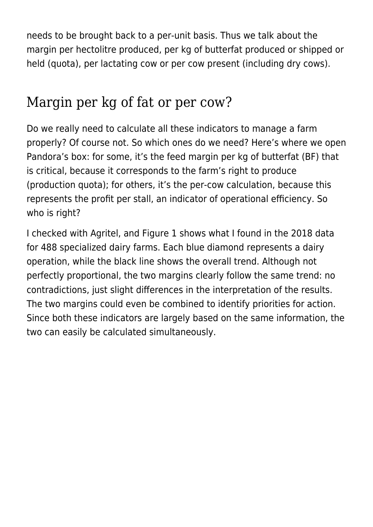needs to be brought back to a per-unit basis. Thus we talk about the margin per hectolitre produced, per kg of butterfat produced or shipped or held (quota), per lactating cow or per cow present (including dry cows).

#### Margin per kg of fat or per cow?

Do we really need to calculate all these indicators to manage a farm properly? Of course not. So which ones do we need? Here's where we open Pandora's box: for some, it's the feed margin per kg of butterfat (BF) that is critical, because it corresponds to the farm's right to produce (production quota); for others, it's the per-cow calculation, because this represents the profit per stall, an indicator of operational efficiency. So who is right?

I checked with Agritel, and Figure 1 shows what I found in the 2018 data for 488 specialized dairy farms. Each blue diamond represents a dairy operation, while the black line shows the overall trend. Although not perfectly proportional, the two margins clearly follow the same trend: no contradictions, just slight differences in the interpretation of the results. The two margins could even be combined to identify priorities for action. Since both these indicators are largely based on the same information, the two can easily be calculated simultaneously.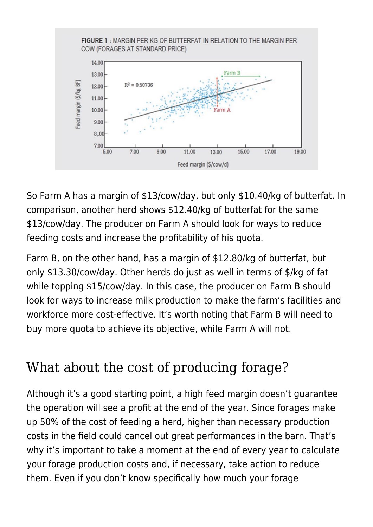

So Farm A has a margin of \$13/cow/day, but only \$10.40/kg of butterfat. In comparison, another herd shows \$12.40/kg of butterfat for the same \$13/cow/day. The producer on Farm A should look for ways to reduce feeding costs and increase the profitability of his quota.

Farm B, on the other hand, has a margin of \$12.80/kg of butterfat, but only \$13.30/cow/day. Other herds do just as well in terms of \$/kg of fat while topping \$15/cow/day. In this case, the producer on Farm B should look for ways to increase milk production to make the farm's facilities and workforce more cost-effective. It's worth noting that Farm B will need to buy more quota to achieve its objective, while Farm A will not.

### What about the cost of producing forage?

Although it's a good starting point, a high feed margin doesn't guarantee the operation will see a profit at the end of the year. Since forages make up 50% of the cost of feeding a herd, higher than necessary production costs in the field could cancel out great performances in the barn. That's why it's important to take a moment at the end of every year to calculate your forage production costs and, if necessary, take action to reduce them. Even if you don't know specifically how much your forage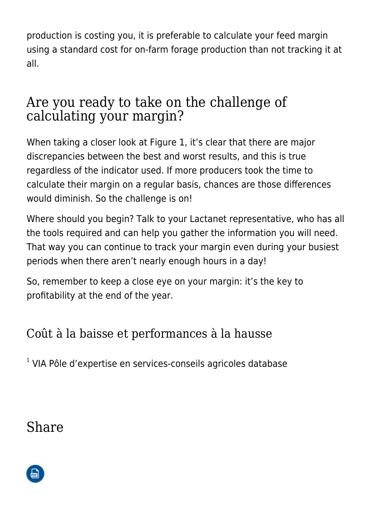production is costing you, it is preferable to calculate your feed margin using a standard cost for on-farm forage production than not tracking it at all.

#### Are you ready to take on the challenge of calculating your margin?

When taking a closer look at Figure 1, it's clear that there are major discrepancies between the best and worst results, and this is true regardless of the indicator used. If more producers took the time to calculate their margin on a regular basis, chances are those differences would diminish. So the challenge is on!

Where should you begin? Talk to your Lactanet representative, who has all the tools required and can help you gather the information you will need. That way you can continue to track your margin even during your busiest periods when there aren't nearly enough hours in a day!

So, remember to keep a close eye on your margin: it's the key to profitability at the end of the year.

Coût à la baisse et performances à la hausse

<sup>1</sup> VIA Pôle d'expertise en services-conseils agricoles database

#### Share